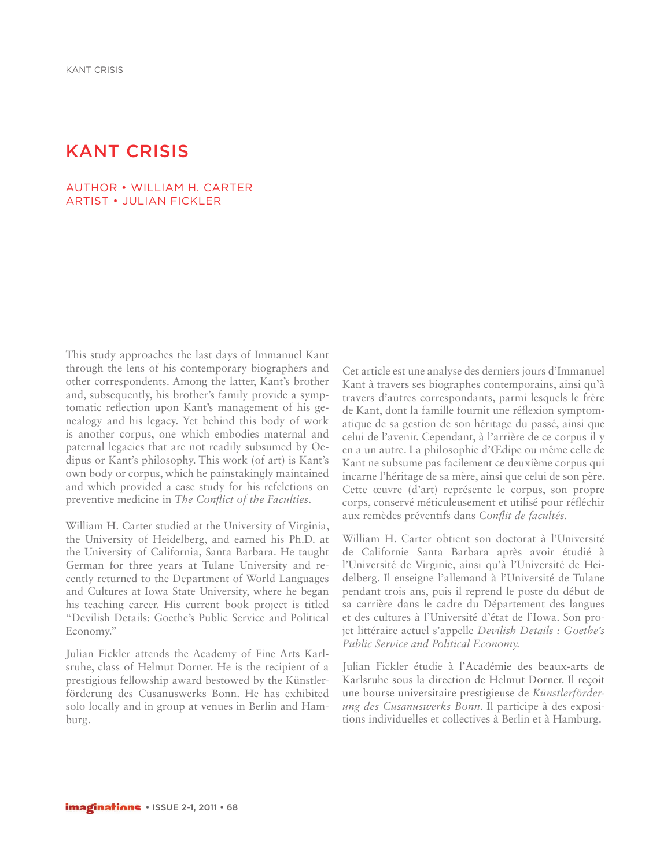# KANT CRISIS

## AUTHOR • WILLIAM H. CARTER ARTIST • JULIAN FICKLER

This study approaches the last days of Immanuel Kant through the lens of his contemporary biographers and other correspondents. Among the latter, Kant's brother and, subsequently, his brother's family provide a symptomatic reflection upon Kant's management of his genealogy and his legacy. Yet behind this body of work is another corpus, one which embodies maternal and paternal legacies that are not readily subsumed by Oedipus or Kant's philosophy. This work (of art) is Kant's own body or corpus, which he painstakingly maintained and which provided a case study for his refelctions on preventive medicine in *The Conflict of the Faculties*.

William H. Carter studied at the University of Virginia, the University of Heidelberg, and earned his Ph.D. at the University of California, Santa Barbara. He taught German for three years at Tulane University and recently returned to the Department of World Languages and Cultures at Iowa State University, where he began his teaching career. His current book project is titled "Devilish Details: Goethe's Public Service and Political Economy."

Julian Fickler attends the Academy of Fine Arts Karlsruhe, class of Helmut Dorner. He is the recipient of a prestigious fellowship award bestowed by the Künstlerförderung des Cusanuswerks Bonn. He has exhibited solo locally and in group at venues in Berlin and Hamburg.

Cet article est une analyse des derniers jours d'Immanuel Kant à travers ses biographes contemporains, ainsi qu'à travers d'autres correspondants, parmi lesquels le frère de Kant, dont la famille fournit une réflexion symptomatique de sa gestion de son héritage du passé, ainsi que celui de l'avenir. Cependant, à l'arrière de ce corpus il y en a un autre. La philosophie d'Œdipe ou même celle de Kant ne subsume pas facilement ce deuxième corpus qui incarne l'héritage de sa mère, ainsi que celui de son père. Cette œuvre (d'art) représente le corpus, son propre corps, conservé méticuleusement et utilisé pour réfléchir aux remèdes préventifs dans *Conflit de facultés.*

William H. Carter obtient son doctorat à l'Université de Californie Santa Barbara après avoir étudié à l'Université de Virginie, ainsi qu'à l'Université de Heidelberg. Il enseigne l'allemand à l'Université de Tulane pendant trois ans, puis il reprend le poste du début de sa carrière dans le cadre du Département des langues et des cultures à l'Université d'état de l'Iowa. Son projet littéraire actuel s'appelle *Devilish Details : Goethe's Public Service and Political Economy.*

Julian Fickler étudie à l'Académie des beaux-arts de Karlsruhe sous la direction de Helmut Dorner. Il reçoit une bourse universitaire prestigieuse de *Künstlerförderung des Cusanuswerks Bonn*. Il participe à des expositions individuelles et collectives à Berlin et à Hamburg.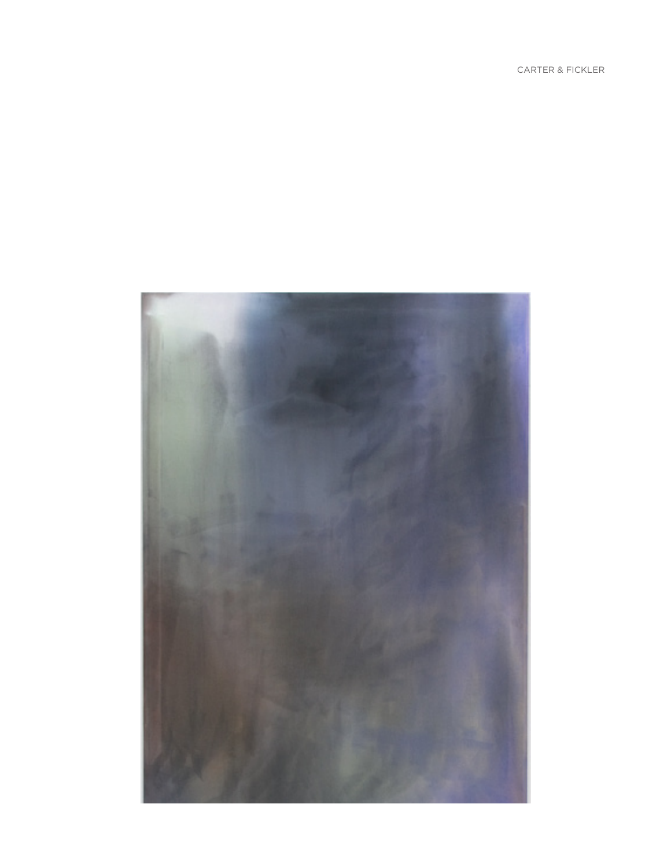CARTER & FICKLER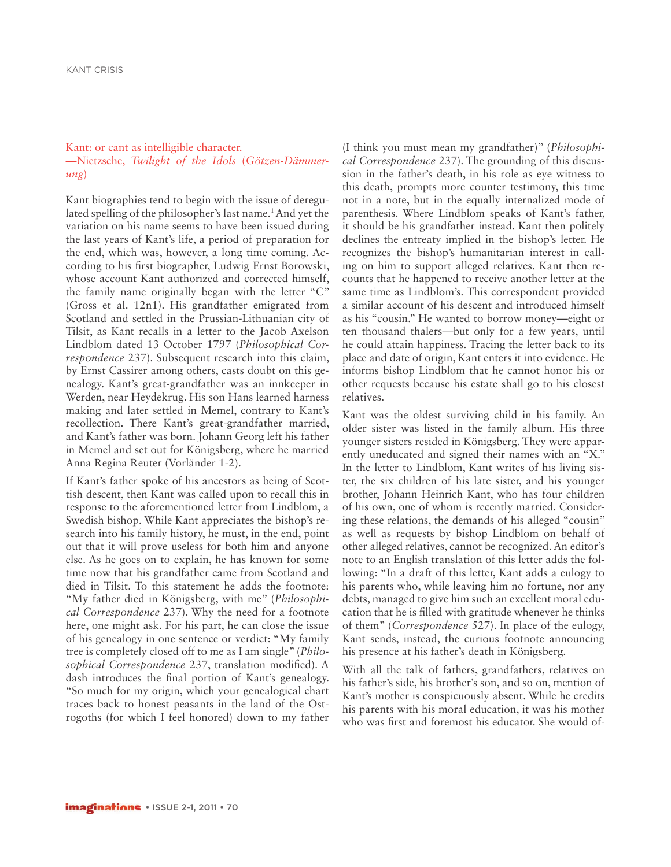#### Kant: or cant as intelligible character.

## —Nietzsche, *Twilight of the Idols* (*Götzen-Dämmerung*)

Kant biographies tend to begin with the issue of deregulated spelling of the philosopher's last name.<sup>1</sup> And yet the variation on his name seems to have been issued during the last years of Kant's life, a period of preparation for the end, which was, however, a long time coming. According to his first biographer, Ludwig Ernst Borowski, whose account Kant authorized and corrected himself, the family name originally began with the letter "C" (Gross et al. 12n1). His grandfather emigrated from Scotland and settled in the Prussian-Lithuanian city of Tilsit, as Kant recalls in a letter to the Jacob Axelson Lindblom dated 13 October 1797 (*Philosophical Correspondence* 237). Subsequent research into this claim, by Ernst Cassirer among others, casts doubt on this genealogy. Kant's great-grandfather was an innkeeper in Werden, near Heydekrug. His son Hans learned harness making and later settled in Memel, contrary to Kant's recollection. There Kant's great-grandfather married, and Kant's father was born. Johann Georg left his father in Memel and set out for Königsberg, where he married Anna Regina Reuter (Vorländer 1-2).

If Kant's father spoke of his ancestors as being of Scottish descent, then Kant was called upon to recall this in response to the aforementioned letter from Lindblom, a Swedish bishop. While Kant appreciates the bishop's research into his family history, he must, in the end, point out that it will prove useless for both him and anyone else. As he goes on to explain, he has known for some time now that his grandfather came from Scotland and died in Tilsit. To this statement he adds the footnote: "My father died in Königsberg, with me" (*Philosophical Correspondence* 237). Why the need for a footnote here, one might ask. For his part, he can close the issue of his genealogy in one sentence or verdict: "My family tree is completely closed off to me as I am single" (*Philosophical Correspondence* 237, translation modified). A dash introduces the final portion of Kant's genealogy. "So much for my origin, which your genealogical chart traces back to honest peasants in the land of the Ostrogoths (for which I feel honored) down to my father

(I think you must mean my grandfather)" (*Philosophical Correspondence* 237). The grounding of this discussion in the father's death, in his role as eye witness to this death, prompts more counter testimony, this time not in a note, but in the equally internalized mode of parenthesis. Where Lindblom speaks of Kant's father, it should be his grandfather instead. Kant then politely declines the entreaty implied in the bishop's letter. He recognizes the bishop's humanitarian interest in calling on him to support alleged relatives. Kant then recounts that he happened to receive another letter at the same time as Lindblom's. This correspondent provided a similar account of his descent and introduced himself as his "cousin." He wanted to borrow money—eight or ten thousand thalers—but only for a few years, until he could attain happiness. Tracing the letter back to its place and date of origin, Kant enters it into evidence. He informs bishop Lindblom that he cannot honor his or other requests because his estate shall go to his closest relatives.

Kant was the oldest surviving child in his family. An older sister was listed in the family album. His three younger sisters resided in Königsberg. They were apparently uneducated and signed their names with an "X." In the letter to Lindblom, Kant writes of his living sister, the six children of his late sister, and his younger brother, Johann Heinrich Kant, who has four children of his own, one of whom is recently married. Considering these relations, the demands of his alleged "cousin" as well as requests by bishop Lindblom on behalf of other alleged relatives, cannot be recognized. An editor's note to an English translation of this letter adds the following: "In a draft of this letter, Kant adds a eulogy to his parents who, while leaving him no fortune, nor any debts, managed to give him such an excellent moral education that he is filled with gratitude whenever he thinks of them" (*Correspondence* 527). In place of the eulogy, Kant sends, instead, the curious footnote announcing his presence at his father's death in Königsberg.

With all the talk of fathers, grandfathers, relatives on his father's side, his brother's son, and so on, mention of Kant's mother is conspicuously absent. While he credits his parents with his moral education, it was his mother who was first and foremost his educator. She would of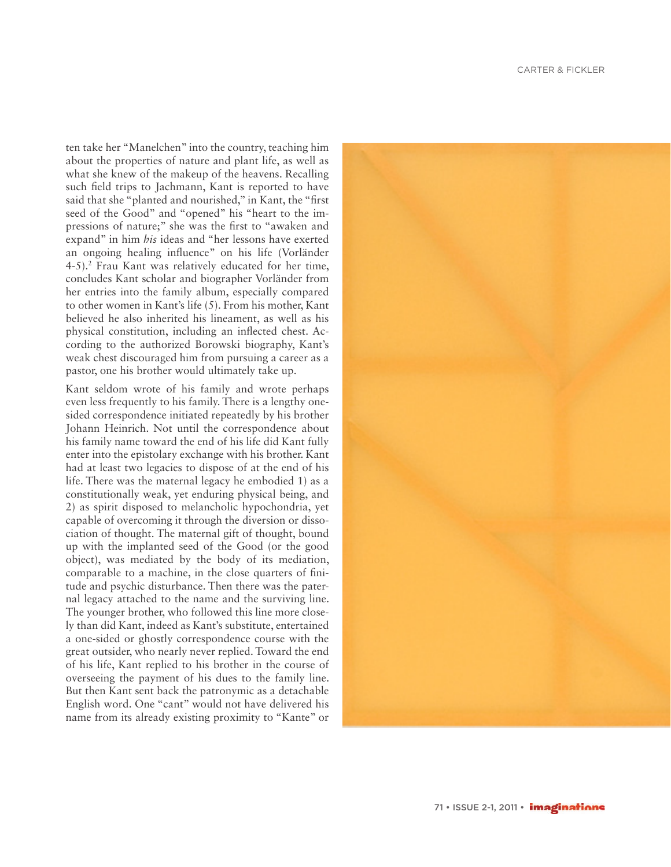ten take her "Manelchen" into the country, teaching him about the properties of nature and plant life, as well as what she knew of the makeup of the heavens. Recalling such field trips to Jachmann, Kant is reported to have said that she "planted and nourished," in Kant, the "first seed of the Good" and "opened" his "heart to the impressions of nature;" she was the first to "awaken and expand" in him *his* ideas and "her lessons have exerted an ongoing healing influence" on his life (Vorländer 4-5).<sup>2</sup> Frau Kant was relatively educated for her time, concludes Kant scholar and biographer Vorländer from her entries into the family album, especially compared to other women in Kant's life (5). From his mother, Kant believed he also inherited his lineament, as well as his physical constitution, including an inflected chest. According to the authorized Borowski biography, Kant's weak chest discouraged him from pursuing a career as a pastor, one his brother would ultimately take up.

Kant seldom wrote of his family and wrote perhaps even less frequently to his family. There is a lengthy onesided correspondence initiated repeatedly by his brother Johann Heinrich. Not until the correspondence about his family name toward the end of his life did Kant fully enter into the epistolary exchange with his brother. Kant had at least two legacies to dispose of at the end of his life. There was the maternal legacy he embodied 1) as a constitutionally weak, yet enduring physical being, and 2) as spirit disposed to melancholic hypochondria, yet capable of overcoming it through the diversion or dissociation of thought. The maternal gift of thought, bound up with the implanted seed of the Good (or the good object), was mediated by the body of its mediation, comparable to a machine, in the close quarters of finitude and psychic disturbance. Then there was the paternal legacy attached to the name and the surviving line. The younger brother, who followed this line more closely than did Kant, indeed as Kant's substitute, entertained a one-sided or ghostly correspondence course with the great outsider, who nearly never replied. Toward the end of his life, Kant replied to his brother in the course of overseeing the payment of his dues to the family line. But then Kant sent back the patronymic as a detachable English word. One "cant" would not have delivered his name from its already existing proximity to "Kante" or

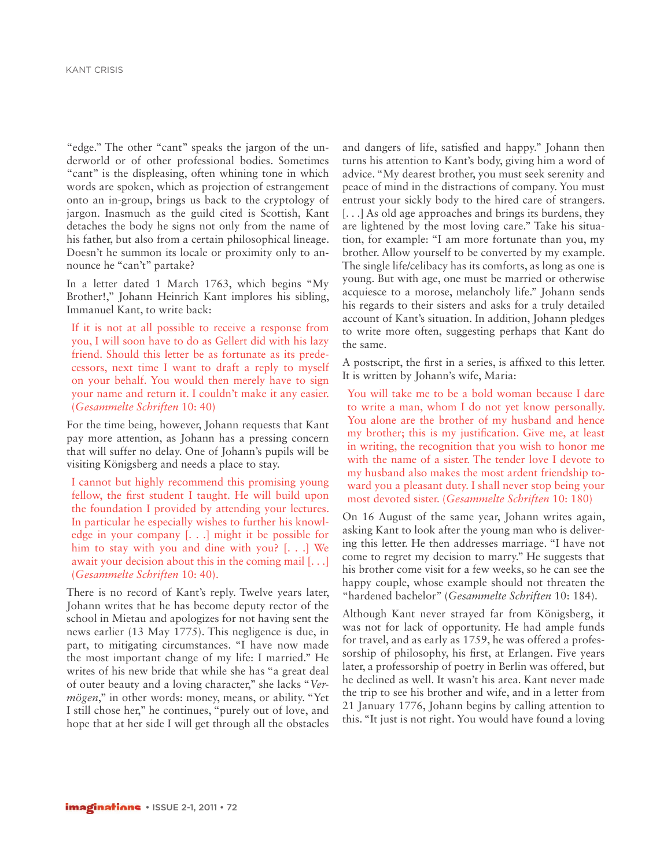"edge." The other "cant" speaks the jargon of the underworld or of other professional bodies. Sometimes "cant" is the displeasing, often whining tone in which words are spoken, which as projection of estrangement onto an in-group, brings us back to the cryptology of jargon. Inasmuch as the guild cited is Scottish, Kant detaches the body he signs not only from the name of his father, but also from a certain philosophical lineage. Doesn't he summon its locale or proximity only to announce he "can't" partake?

In a letter dated 1 March 1763, which begins "My Brother!," Johann Heinrich Kant implores his sibling, Immanuel Kant, to write back:

If it is not at all possible to receive a response from you, I will soon have to do as Gellert did with his lazy friend. Should this letter be as fortunate as its predecessors, next time I want to draft a reply to myself on your behalf. You would then merely have to sign your name and return it. I couldn't make it any easier. (*Gesammelte Schriften* 10: 40)

For the time being, however, Johann requests that Kant pay more attention, as Johann has a pressing concern that will suffer no delay. One of Johann's pupils will be visiting Königsberg and needs a place to stay.

I cannot but highly recommend this promising young fellow, the first student I taught. He will build upon the foundation I provided by attending your lectures. In particular he especially wishes to further his knowledge in your company [. . .] might it be possible for him to stay with you and dine with you?  $[...]$  We await your decision about this in the coming mail [. . .] (*Gesammelte Schriften* 10: 40).

There is no record of Kant's reply. Twelve years later, Johann writes that he has become deputy rector of the school in Mietau and apologizes for not having sent the news earlier (13 May 1775). This negligence is due, in part, to mitigating circumstances. "I have now made the most important change of my life: I married." He writes of his new bride that while she has "a great deal of outer beauty and a loving character," she lacks "*Vermögen*," in other words: money, means, or ability. "Yet I still chose her," he continues, "purely out of love, and hope that at her side I will get through all the obstacles

and dangers of life, satisfied and happy." Johann then turns his attention to Kant's body, giving him a word of advice. "My dearest brother, you must seek serenity and peace of mind in the distractions of company. You must entrust your sickly body to the hired care of strangers. [. . .] As old age approaches and brings its burdens, they are lightened by the most loving care." Take his situation, for example: "I am more fortunate than you, my brother. Allow yourself to be converted by my example. The single life/celibacy has its comforts, as long as one is young. But with age, one must be married or otherwise acquiesce to a morose, melancholy life." Johann sends his regards to their sisters and asks for a truly detailed account of Kant's situation. In addition, Johann pledges to write more often, suggesting perhaps that Kant do the same.

A postscript, the first in a series, is affixed to this letter. It is written by Johann's wife, Maria:

You will take me to be a bold woman because I dare to write a man, whom I do not yet know personally. You alone are the brother of my husband and hence my brother; this is my justification. Give me, at least in writing, the recognition that you wish to honor me with the name of a sister. The tender love I devote to my husband also makes the most ardent friendship toward you a pleasant duty. I shall never stop being your most devoted sister. (*Gesammelte Schriften* 10: 180)

On 16 August of the same year, Johann writes again, asking Kant to look after the young man who is delivering this letter. He then addresses marriage. "I have not come to regret my decision to marry." He suggests that his brother come visit for a few weeks, so he can see the happy couple, whose example should not threaten the "hardened bachelor" (*Gesammelte Schriften* 10: 184).

Although Kant never strayed far from Königsberg, it was not for lack of opportunity. He had ample funds for travel, and as early as 1759, he was offered a professorship of philosophy, his first, at Erlangen. Five years later, a professorship of poetry in Berlin was offered, but he declined as well. It wasn't his area. Kant never made the trip to see his brother and wife, and in a letter from 21 January 1776, Johann begins by calling attention to this. "It just is not right. You would have found a loving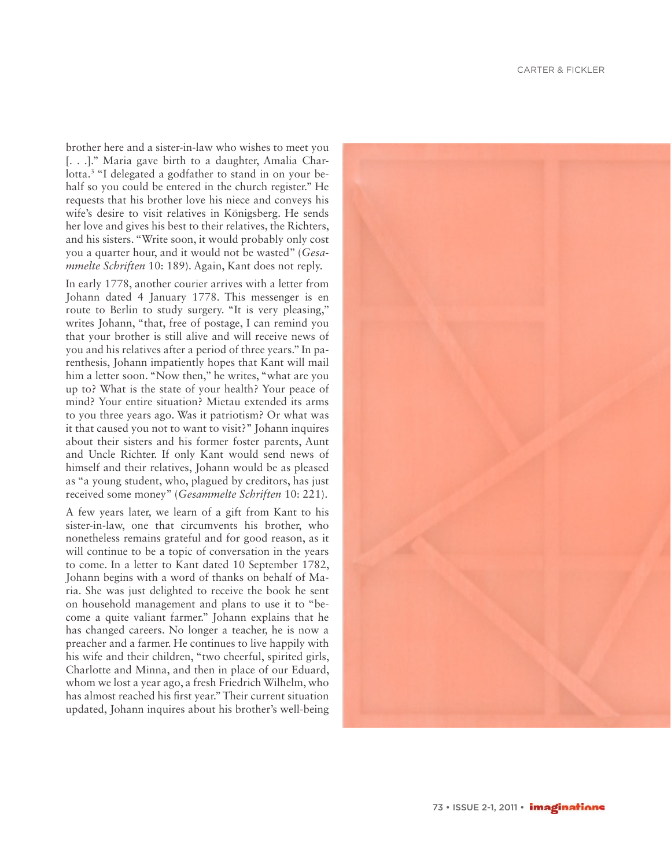brother here and a sister-in-law who wishes to meet you [. . .]." Maria gave birth to a daughter, Amalia Charlotta.<sup>3</sup> "I delegated a godfather to stand in on your behalf so you could be entered in the church register." He requests that his brother love his niece and conveys his wife's desire to visit relatives in Königsberg. He sends her love and gives his best to their relatives, the Richters, and his sisters. "Write soon, it would probably only cost you a quarter hour, and it would not be wasted" (*Gesammelte Schriften* 10: 189). Again, Kant does not reply.

In early 1778, another courier arrives with a letter from Johann dated 4 January 1778. This messenger is en route to Berlin to study surgery. "It is very pleasing," writes Johann, "that, free of postage, I can remind you that your brother is still alive and will receive news of you and his relatives after a period of three years." In parenthesis, Johann impatiently hopes that Kant will mail him a letter soon. "Now then," he writes, "what are you up to? What is the state of your health? Your peace of mind? Your entire situation? Mietau extended its arms to you three years ago. Was it patriotism? Or what was it that caused you not to want to visit?" Johann inquires about their sisters and his former foster parents, Aunt and Uncle Richter. If only Kant would send news of himself and their relatives, Johann would be as pleased as "a young student, who, plagued by creditors, has just received some money" (*Gesammelte Schriften* 10: 221).

A few years later, we learn of a gift from Kant to his sister-in-law, one that circumvents his brother, who nonetheless remains grateful and for good reason, as it will continue to be a topic of conversation in the years to come. In a letter to Kant dated 10 September 1782, Johann begins with a word of thanks on behalf of Maria. She was just delighted to receive the book he sent on household management and plans to use it to "become a quite valiant farmer." Johann explains that he has changed careers. No longer a teacher, he is now a preacher and a farmer. He continues to live happily with his wife and their children, "two cheerful, spirited girls, Charlotte and Minna, and then in place of our Eduard, whom we lost a year ago, a fresh Friedrich Wilhelm, who has almost reached his first year." Their current situation updated, Johann inquires about his brother's well-being

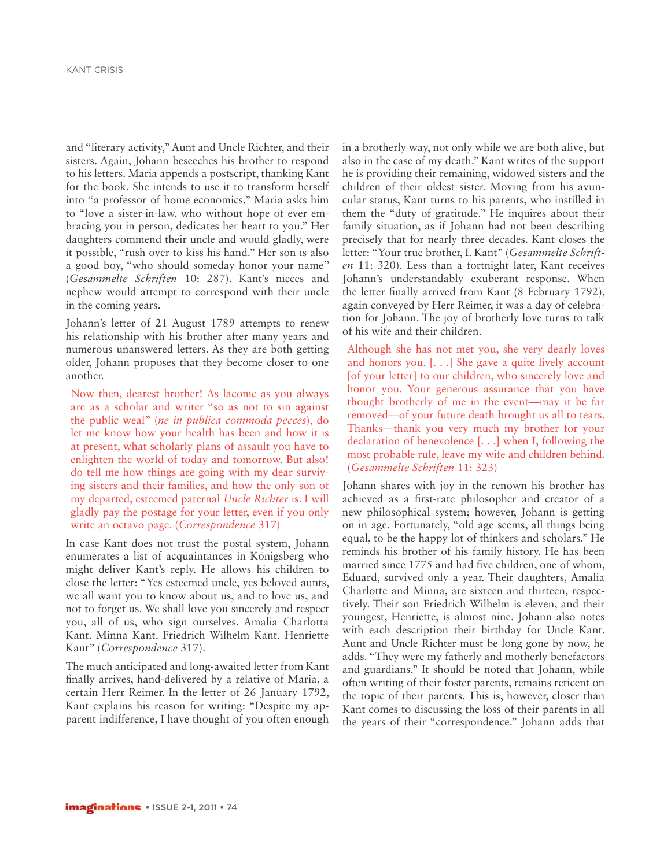and "literary activity," Aunt and Uncle Richter, and their sisters. Again, Johann beseeches his brother to respond to his letters. Maria appends a postscript, thanking Kant for the book. She intends to use it to transform herself into "a professor of home economics." Maria asks him to "love a sister-in-law, who without hope of ever embracing you in person, dedicates her heart to you." Her daughters commend their uncle and would gladly, were it possible, "rush over to kiss his hand." Her son is also a good boy, "who should someday honor your name" (*Gesammelte Schriften* 10: 287). Kant's nieces and nephew would attempt to correspond with their uncle in the coming years.

Johann's letter of 21 August 1789 attempts to renew his relationship with his brother after many years and numerous unanswered letters. As they are both getting older, Johann proposes that they become closer to one another.

Now then, dearest brother! As laconic as you always are as a scholar and writer "so as not to sin against the public weal" (*ne in publica commoda pecces*), do let me know how your health has been and how it is at present, what scholarly plans of assault you have to enlighten the world of today and tomorrow. But also! do tell me how things are going with my dear surviving sisters and their families, and how the only son of my departed, esteemed paternal *Uncle Richter* is. I will gladly pay the postage for your letter, even if you only write an octavo page. (*Correspondence* 317)

In case Kant does not trust the postal system, Johann enumerates a list of acquaintances in Königsberg who might deliver Kant's reply. He allows his children to close the letter: "Yes esteemed uncle, yes beloved aunts, we all want you to know about us, and to love us, and not to forget us. We shall love you sincerely and respect you, all of us, who sign ourselves. Amalia Charlotta Kant. Minna Kant. Friedrich Wilhelm Kant. Henriette Kant" (*Correspondence* 317).

The much anticipated and long-awaited letter from Kant finally arrives, hand-delivered by a relative of Maria, a certain Herr Reimer. In the letter of 26 January 1792, Kant explains his reason for writing: "Despite my apparent indifference, I have thought of you often enough

in a brotherly way, not only while we are both alive, but also in the case of my death." Kant writes of the support he is providing their remaining, widowed sisters and the children of their oldest sister. Moving from his avuncular status, Kant turns to his parents, who instilled in them the "duty of gratitude." He inquires about their family situation, as if Johann had not been describing precisely that for nearly three decades. Kant closes the letter: "Your true brother, I. Kant" (*Gesammelte Schriften* 11: 320). Less than a fortnight later, Kant receives Johann's understandably exuberant response. When the letter finally arrived from Kant (8 February 1792), again conveyed by Herr Reimer, it was a day of celebration for Johann. The joy of brotherly love turns to talk of his wife and their children.

Although she has not met you, she very dearly loves and honors you. [. . .] She gave a quite lively account [of your letter] to our children, who sincerely love and honor you. Your generous assurance that you have thought brotherly of me in the event—may it be far removed—of your future death brought us all to tears. Thanks—thank you very much my brother for your declaration of benevolence [. . .] when I, following the most probable rule, leave my wife and children behind. (*Gesammelte Schriften* 11: 323)

Johann shares with joy in the renown his brother has achieved as a first-rate philosopher and creator of a new philosophical system; however, Johann is getting on in age. Fortunately, "old age seems, all things being equal, to be the happy lot of thinkers and scholars." He reminds his brother of his family history. He has been married since 1775 and had five children, one of whom, Eduard, survived only a year. Their daughters, Amalia Charlotte and Minna, are sixteen and thirteen, respectively. Their son Friedrich Wilhelm is eleven, and their youngest, Henriette, is almost nine. Johann also notes with each description their birthday for Uncle Kant. Aunt and Uncle Richter must be long gone by now, he adds. "They were my fatherly and motherly benefactors and guardians." It should be noted that Johann, while often writing of their foster parents, remains reticent on the topic of their parents. This is, however, closer than Kant comes to discussing the loss of their parents in all the years of their "correspondence." Johann adds that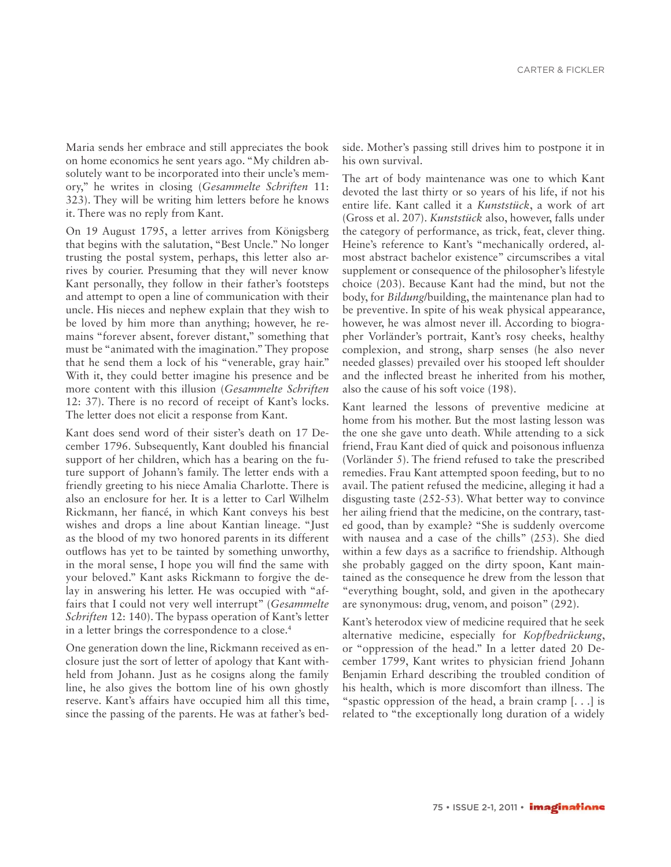Maria sends her embrace and still appreciates the book on home economics he sent years ago. "My children absolutely want to be incorporated into their uncle's memory," he writes in closing (*Gesammelte Schriften* 11: 323). They will be writing him letters before he knows it. There was no reply from Kant.

On 19 August 1795, a letter arrives from Königsberg that begins with the salutation, "Best Uncle." No longer trusting the postal system, perhaps, this letter also arrives by courier. Presuming that they will never know Kant personally, they follow in their father's footsteps and attempt to open a line of communication with their uncle. His nieces and nephew explain that they wish to be loved by him more than anything; however, he remains "forever absent, forever distant," something that must be "animated with the imagination." They propose that he send them a lock of his "venerable, gray hair." With it, they could better imagine his presence and be more content with this illusion (*Gesammelte Schriften* 12: 37). There is no record of receipt of Kant's locks. The letter does not elicit a response from Kant.

Kant does send word of their sister's death on 17 December 1796. Subsequently, Kant doubled his financial support of her children, which has a bearing on the future support of Johann's family. The letter ends with a friendly greeting to his niece Amalia Charlotte. There is also an enclosure for her. It is a letter to Carl Wilhelm Rickmann, her fiancé, in which Kant conveys his best wishes and drops a line about Kantian lineage. "Just as the blood of my two honored parents in its different outflows has yet to be tainted by something unworthy, in the moral sense, I hope you will find the same with your beloved." Kant asks Rickmann to forgive the delay in answering his letter. He was occupied with "affairs that I could not very well interrupt" (*Gesammelte Schriften* 12: 140). The bypass operation of Kant's letter in a letter brings the correspondence to a close.4

One generation down the line, Rickmann received as enclosure just the sort of letter of apology that Kant withheld from Johann. Just as he cosigns along the family line, he also gives the bottom line of his own ghostly reserve. Kant's affairs have occupied him all this time, since the passing of the parents. He was at father's bedside. Mother's passing still drives him to postpone it in his own survival.

The art of body maintenance was one to which Kant devoted the last thirty or so years of his life, if not his entire life. Kant called it a *Kunststück*, a work of art (Gross et al. 207). *Kunststück* also, however, falls under the category of performance, as trick, feat, clever thing. Heine's reference to Kant's "mechanically ordered, almost abstract bachelor existence" circumscribes a vital supplement or consequence of the philosopher's lifestyle choice (203). Because Kant had the mind, but not the body, for *Bildung*/building, the maintenance plan had to be preventive. In spite of his weak physical appearance, however, he was almost never ill. According to biographer Vorländer's portrait, Kant's rosy cheeks, healthy complexion, and strong, sharp senses (he also never needed glasses) prevailed over his stooped left shoulder and the inflected breast he inherited from his mother, also the cause of his soft voice (198).

Kant learned the lessons of preventive medicine at home from his mother. But the most lasting lesson was the one she gave unto death. While attending to a sick friend, Frau Kant died of quick and poisonous influenza (Vorländer 5). The friend refused to take the prescribed remedies. Frau Kant attempted spoon feeding, but to no avail. The patient refused the medicine, alleging it had a disgusting taste (252-53). What better way to convince her ailing friend that the medicine, on the contrary, tasted good, than by example? "She is suddenly overcome with nausea and a case of the chills" (253). She died within a few days as a sacrifice to friendship. Although she probably gagged on the dirty spoon, Kant maintained as the consequence he drew from the lesson that "everything bought, sold, and given in the apothecary are synonymous: drug, venom, and poison" (292).

Kant's heterodox view of medicine required that he seek alternative medicine, especially for *Kopfbedrückung*, or "oppression of the head." In a letter dated 20 December 1799, Kant writes to physician friend Johann Benjamin Erhard describing the troubled condition of his health, which is more discomfort than illness. The "spastic oppression of the head, a brain cramp [. . .] is related to "the exceptionally long duration of a widely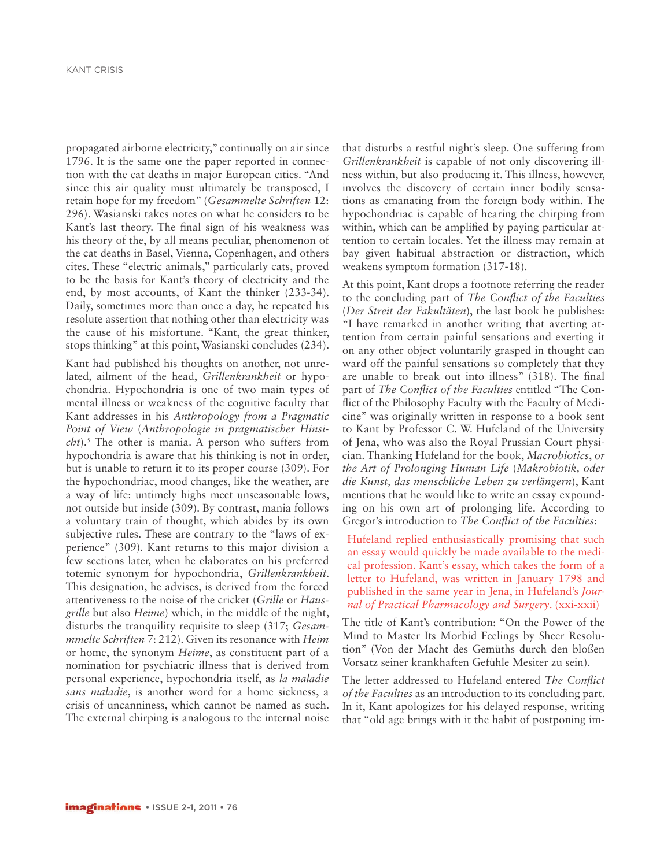propagated airborne electricity," continually on air since 1796. It is the same one the paper reported in connection with the cat deaths in major European cities. "And since this air quality must ultimately be transposed, I retain hope for my freedom" (*Gesammelte Schriften* 12: 296). Wasianski takes notes on what he considers to be Kant's last theory. The final sign of his weakness was his theory of the, by all means peculiar, phenomenon of the cat deaths in Basel, Vienna, Copenhagen, and others cites. These "electric animals," particularly cats, proved to be the basis for Kant's theory of electricity and the end, by most accounts, of Kant the thinker (233-34). Daily, sometimes more than once a day, he repeated his resolute assertion that nothing other than electricity was the cause of his misfortune. "Kant, the great thinker, stops thinking" at this point, Wasianski concludes (234).

Kant had published his thoughts on another, not unrelated, ailment of the head, *Grillenkrankheit* or hypochondria. Hypochondria is one of two main types of mental illness or weakness of the cognitive faculty that Kant addresses in his *Anthropology from a Pragmatic Point of View* (*Anthropologie in pragmatischer Hinsicht*).5 The other is mania. A person who suffers from hypochondria is aware that his thinking is not in order, but is unable to return it to its proper course (309). For the hypochondriac, mood changes, like the weather, are a way of life: untimely highs meet unseasonable lows, not outside but inside (309). By contrast, mania follows a voluntary train of thought, which abides by its own subjective rules. These are contrary to the "laws of experience" (309). Kant returns to this major division a few sections later, when he elaborates on his preferred totemic synonym for hypochondria, *Grillenkrankheit*. This designation, he advises, is derived from the forced attentiveness to the noise of the cricket (*Grille* or *Hausgrille* but also *Heime*) which, in the middle of the night, disturbs the tranquility requisite to sleep (317; *Gesammmelte Schriften* 7: 212). Given its resonance with *Heim*  or home, the synonym *Heime*, as constituent part of a nomination for psychiatric illness that is derived from personal experience, hypochondria itself, as *la maladie sans maladie*, is another word for a home sickness, a crisis of uncanniness, which cannot be named as such. The external chirping is analogous to the internal noise

that disturbs a restful night's sleep. One suffering from *Grillenkrankheit* is capable of not only discovering illness within, but also producing it. This illness, however, involves the discovery of certain inner bodily sensations as emanating from the foreign body within. The hypochondriac is capable of hearing the chirping from within, which can be amplified by paying particular attention to certain locales. Yet the illness may remain at bay given habitual abstraction or distraction, which weakens symptom formation (317-18).

At this point, Kant drops a footnote referring the reader to the concluding part of *The Conflict of the Faculties* (*Der Streit der Fakultäten*), the last book he publishes: "I have remarked in another writing that averting attention from certain painful sensations and exerting it on any other object voluntarily grasped in thought can ward off the painful sensations so completely that they are unable to break out into illness" (318). The final part of *The Conflict of the Faculties* entitled "The Conflict of the Philosophy Faculty with the Faculty of Medicine" was originally written in response to a book sent to Kant by Professor C. W. Hufeland of the University of Jena, who was also the Royal Prussian Court physician. Thanking Hufeland for the book, *Macrobiotics*, *or the Art of Prolonging Human Life* (*Makrobiotik, oder die Kunst, das menschliche Leben zu verlängern*), Kant mentions that he would like to write an essay expounding on his own art of prolonging life. According to Gregor's introduction to *The Conflict of the Faculties*:

Hufeland replied enthusiastically promising that such an essay would quickly be made available to the medical profession. Kant's essay, which takes the form of a letter to Hufeland, was written in January 1798 and published in the same year in Jena, in Hufeland's *Journal of Practical Pharmacology and Surgery*. (xxi-xxii)

The title of Kant's contribution: "On the Power of the Mind to Master Its Morbid Feelings by Sheer Resolution" (Von der Macht des Gemüths durch den bloßen Vorsatz seiner krankhaften Gefühle Mesiter zu sein).

The letter addressed to Hufeland entered *The Conflict of the Faculties* as an introduction to its concluding part. In it, Kant apologizes for his delayed response, writing that "old age brings with it the habit of postponing im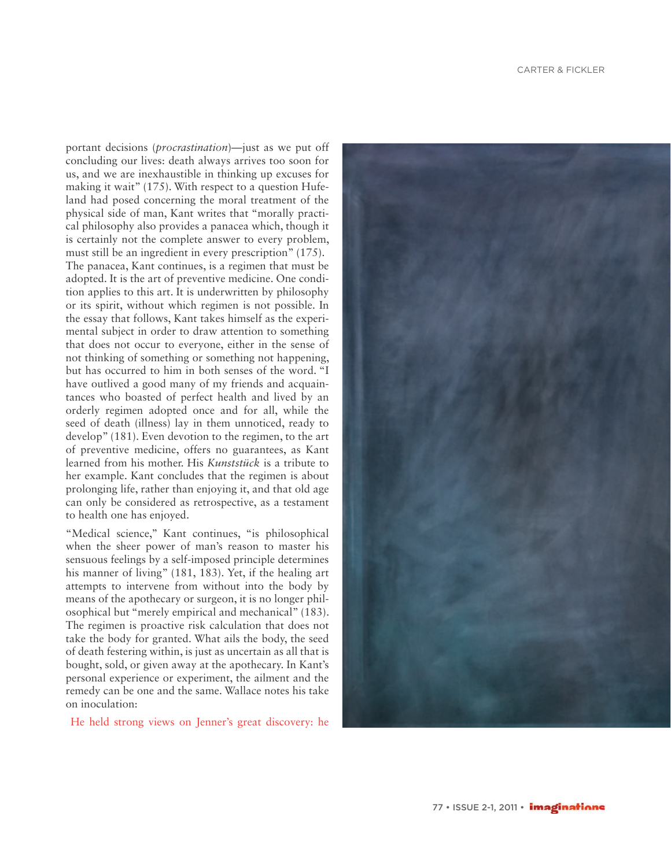portant decisions (*procrastination*)—just as we put off concluding our lives: death always arrives too soon for us, and we are inexhaustible in thinking up excuses for making it wait" (175). With respect to a question Hufeland had posed concerning the moral treatment of the physical side of man, Kant writes that "morally practical philosophy also provides a panacea which, though it is certainly not the complete answer to every problem, must still be an ingredient in every prescription" (175). The panacea, Kant continues, is a regimen that must be adopted. It is the art of preventive medicine. One condition applies to this art. It is underwritten by philosophy or its spirit, without which regimen is not possible. In the essay that follows, Kant takes himself as the experimental subject in order to draw attention to something that does not occur to everyone, either in the sense of not thinking of something or something not happening, but has occurred to him in both senses of the word. "I have outlived a good many of my friends and acquaintances who boasted of perfect health and lived by an orderly regimen adopted once and for all, while the seed of death (illness) lay in them unnoticed, ready to develop" (181). Even devotion to the regimen, to the art of preventive medicine, offers no guarantees, as Kant learned from his mother. His *Kunststück* is a tribute to her example. Kant concludes that the regimen is about prolonging life, rather than enjoying it, and that old age can only be considered as retrospective, as a testament to health one has enjoyed.

"Medical science," Kant continues, "is philosophical when the sheer power of man's reason to master his sensuous feelings by a self-imposed principle determines his manner of living" (181, 183). Yet, if the healing art attempts to intervene from without into the body by means of the apothecary or surgeon, it is no longer philosophical but "merely empirical and mechanical" (183). The regimen is proactive risk calculation that does not take the body for granted. What ails the body, the seed of death festering within, is just as uncertain as all that is bought, sold, or given away at the apothecary. In Kant's personal experience or experiment, the ailment and the remedy can be one and the same. Wallace notes his take on inoculation:

He held strong views on Jenner's great discovery: he

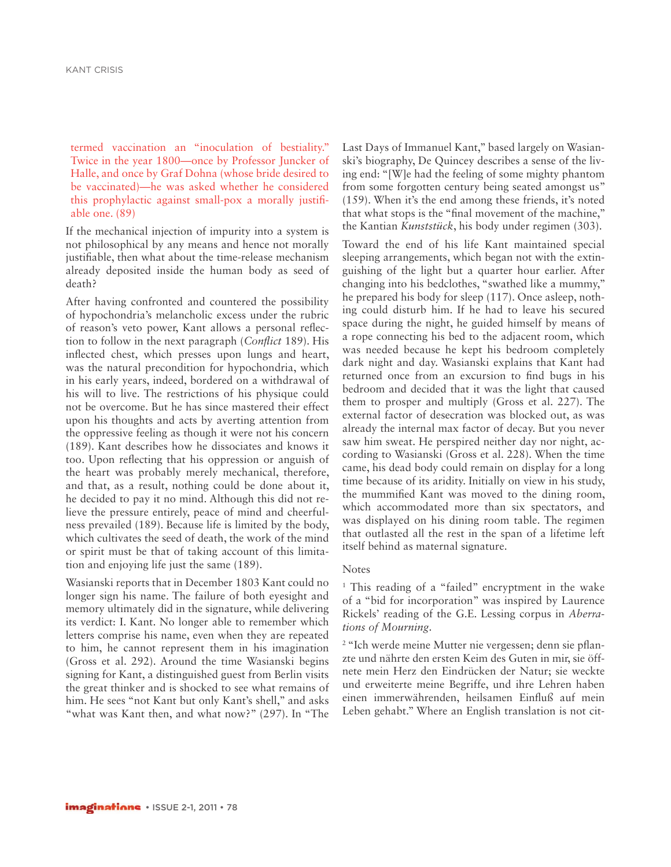termed vaccination an "inoculation of bestiality." Twice in the year 1800—once by Professor Juncker of Halle, and once by Graf Dohna (whose bride desired to be vaccinated)—he was asked whether he considered this prophylactic against small-pox a morally justifiable one. (89)

If the mechanical injection of impurity into a system is not philosophical by any means and hence not morally justifiable, then what about the time-release mechanism already deposited inside the human body as seed of death?

After having confronted and countered the possibility of hypochondria's melancholic excess under the rubric of reason's veto power, Kant allows a personal reflection to follow in the next paragraph (*Conflict* 189). His inflected chest, which presses upon lungs and heart, was the natural precondition for hypochondria, which in his early years, indeed, bordered on a withdrawal of his will to live. The restrictions of his physique could not be overcome. But he has since mastered their effect upon his thoughts and acts by averting attention from the oppressive feeling as though it were not his concern (189). Kant describes how he dissociates and knows it too. Upon reflecting that his oppression or anguish of the heart was probably merely mechanical, therefore, and that, as a result, nothing could be done about it, he decided to pay it no mind. Although this did not relieve the pressure entirely, peace of mind and cheerfulness prevailed (189). Because life is limited by the body, which cultivates the seed of death, the work of the mind or spirit must be that of taking account of this limitation and enjoying life just the same (189).

Wasianski reports that in December 1803 Kant could no longer sign his name. The failure of both eyesight and memory ultimately did in the signature, while delivering its verdict: I. Kant. No longer able to remember which letters comprise his name, even when they are repeated to him, he cannot represent them in his imagination (Gross et al. 292). Around the time Wasianski begins signing for Kant, a distinguished guest from Berlin visits the great thinker and is shocked to see what remains of him. He sees "not Kant but only Kant's shell," and asks "what was Kant then, and what now?" (297). In "The

Last Days of Immanuel Kant," based largely on Wasianski's biography, De Quincey describes a sense of the living end: "[W]e had the feeling of some mighty phantom from some forgotten century being seated amongst us" (159). When it's the end among these friends, it's noted that what stops is the "final movement of the machine," the Kantian *Kunststück*, his body under regimen (303).

Toward the end of his life Kant maintained special sleeping arrangements, which began not with the extinguishing of the light but a quarter hour earlier. After changing into his bedclothes, "swathed like a mummy," he prepared his body for sleep (117). Once asleep, nothing could disturb him. If he had to leave his secured space during the night, he guided himself by means of a rope connecting his bed to the adjacent room, which was needed because he kept his bedroom completely dark night and day. Wasianski explains that Kant had returned once from an excursion to find bugs in his bedroom and decided that it was the light that caused them to prosper and multiply (Gross et al. 227). The external factor of desecration was blocked out, as was already the internal max factor of decay. But you never saw him sweat. He perspired neither day nor night, according to Wasianski (Gross et al. 228). When the time came, his dead body could remain on display for a long time because of its aridity. Initially on view in his study, the mummified Kant was moved to the dining room, which accommodated more than six spectators, and was displayed on his dining room table. The regimen that outlasted all the rest in the span of a lifetime left itself behind as maternal signature.

## **Notes**

<sup>1</sup> This reading of a "failed" encryptment in the wake of a "bid for incorporation" was inspired by Laurence Rickels' reading of the G.E. Lessing corpus in *Aberrations of Mourning*.

<sup>2</sup> "Ich werde meine Mutter nie vergessen; denn sie pflanzte und nährte den ersten Keim des Guten in mir, sie öffnete mein Herz den Eindrücken der Natur; sie weckte und erweiterte meine Begriffe, und ihre Lehren haben einen immerwährenden, heilsamen Einfluß auf mein Leben gehabt." Where an English translation is not cit